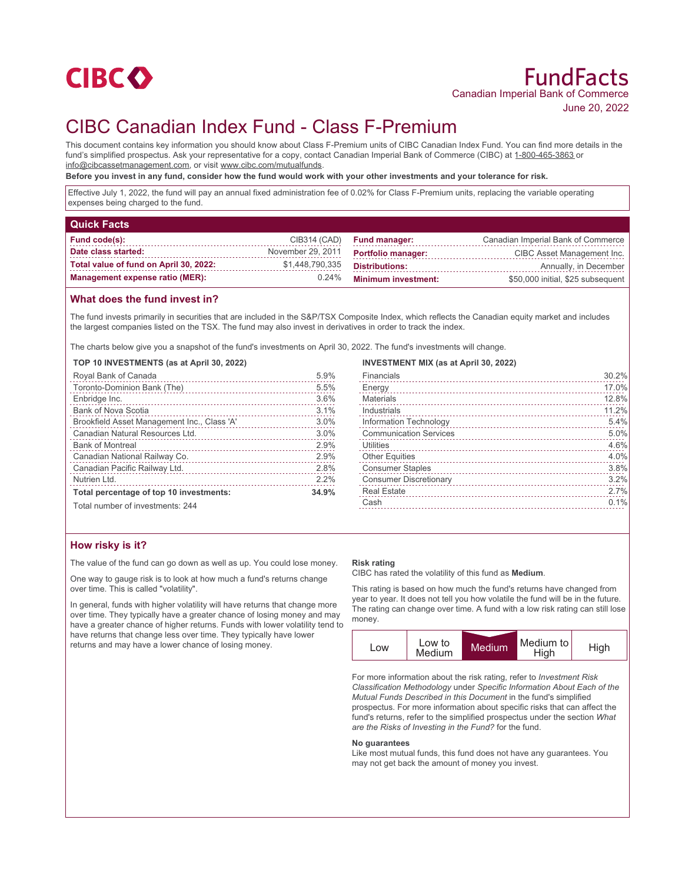

# CIBC Canadian Index Fund - Class F-Premium

This document contains key information you should know about Class F-Premium units of CIBC Canadian Index Fund. You can find more details in the fund's simplified prospectus. Ask your representative for a copy, contact Canadian Imperial Bank of Commerce (CIBC) at 1-800-465-3863 or info@cibcassetmanagement.com, or visit www.cibc.com/mutualfunds.

**Before you invest in any fund, consider how the fund would work with your other investments and your tolerance for risk.**

Effective July 1, 2022, the fund will pay an annual fixed administration fee of 0.02% for Class F-Premium units, replacing the variable operating expenses being charged to the fund.

| <b>Quick Facts</b>                     |                   |                            |                                    |
|----------------------------------------|-------------------|----------------------------|------------------------------------|
| Fund code(s):                          | CIB314 (CAD)      | <b>Fund manager:</b>       | Canadian Imperial Bank of Commerce |
| Date class started:                    | November 29, 2011 | <b>Portfolio manager:</b>  | CIBC Asset Management Inc.         |
| Total value of fund on April 30, 2022: | \$1,448,790,335   | <b>Distributions:</b>      | Annually, in December              |
| <b>Management expense ratio (MER):</b> | $0.24\%$          | <b>Minimum investment:</b> | \$50,000 initial, \$25 subsequent  |

## **What does the fund invest in?**

The fund invests primarily in securities that are included in the S&P/TSX Composite Index, which reflects the Canadian equity market and includes the largest companies listed on the TSX. The fund may also invest in derivatives in order to track the index.

The charts below give you a snapshot of the fund's investments on April 30, 2022. The fund's investments will change.

#### **TOP 10 INVESTMENTS (as at April 30, 2022)**

| Royal Bank of Canada                        | 5.9%  |
|---------------------------------------------|-------|
| Toronto-Dominion Bank (The)                 | 5.5%  |
| Enbridge Inc.                               | 3.6%  |
| <b>Bank of Nova Scotia</b>                  | 3.1%  |
| Brookfield Asset Management Inc., Class 'A' | 3.0%  |
| Canadian Natural Resources Ltd.             | 3.0%  |
| <b>Bank of Montreal</b>                     | 2.9%  |
| Canadian National Railway Co.               | 2.9%  |
| Canadian Pacific Railway Ltd.               | 2.8%  |
| Nutrien Ltd.                                | 2.2%  |
| Total percentage of top 10 investments:     | 34.9% |
| Total number of investments: 244            |       |

#### **INVESTMENT MIX (as at April 30, 2022)**

| Financials                    | 30.2% |
|-------------------------------|-------|
| Energy                        | 17.0% |
| <b>Materials</b>              | 12.8% |
| Industrials                   | 11.2% |
| Information Technology        | 5.4%  |
| <b>Communication Services</b> | 5.0%  |
| Utilities                     | 4.6%  |
| <b>Other Equities</b>         | 4.0%  |
| <b>Consumer Staples</b>       | 3.8%  |
| <b>Consumer Discretionary</b> | 3.2%  |
| <b>Real Estate</b>            | 2.7%  |
| Cash                          | 0.1%  |
|                               |       |

## **How risky is it?**

The value of the fund can go down as well as up. You could lose money.

One way to gauge risk is to look at how much a fund's returns change over time. This is called "volatility".

In general, funds with higher volatility will have returns that change more over time. They typically have a greater chance of losing money and may have a greater chance of higher returns. Funds with lower volatility tend to have returns that change less over time. They typically have lower returns and may have a lower chance of losing money.

#### **Risk rating**

CIBC has rated the volatility of this fund as **Medium**.

This rating is based on how much the fund's returns have changed from year to year. It does not tell you how volatile the fund will be in the future. The rating can change over time. A fund with a low risk rating can still lose money.



For more information about the risk rating, refer to *Investment Risk Classification Methodology* under *Specific Information About Each of the Mutual Funds Described in this Document* in the fund's simplified prospectus. For more information about specific risks that can affect the fund's returns, refer to the simplified prospectus under the section *What are the Risks of Investing in the Fund?* for the fund.

#### **No guarantees**

Like most mutual funds, this fund does not have any guarantees. You may not get back the amount of money you invest.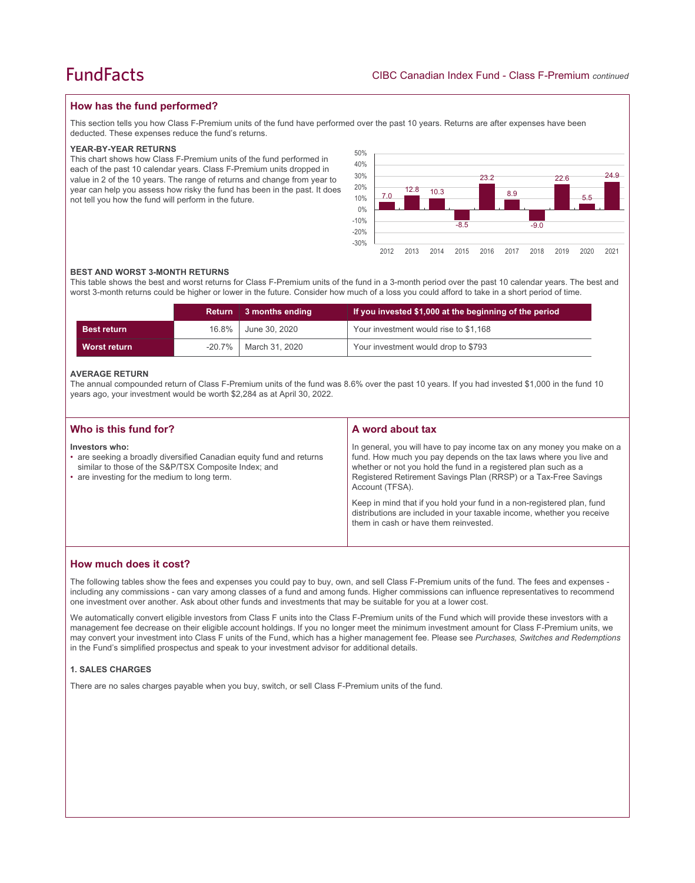## **How has the fund performed?**

This section tells you how Class F-Premium units of the fund have performed over the past 10 years. Returns are after expenses have been deducted. These expenses reduce the fund's returns.

#### **YEAR-BY-YEAR RETURNS**

This chart shows how Class F-Premium units of the fund performed in each of the past 10 calendar years. Class F-Premium units dropped in value in 2 of the 10 years. The range of returns and change from year to year can help you assess how risky the fund has been in the past. It does not tell you how the fund will perform in the future.



#### **BEST AND WORST 3-MONTH RETURNS**

This table shows the best and worst returns for Class F-Premium units of the fund in a 3-month period over the past 10 calendar years. The best and worst 3-month returns could be higher or lower in the future. Consider how much of a loss you could afford to take in a short period of time.

|                    |           | Return 3 months ending | If you invested \$1,000 at the beginning of the period |
|--------------------|-----------|------------------------|--------------------------------------------------------|
| <b>Best return</b> | 16.8%     | June 30, 2020          | Your investment would rise to \$1,168                  |
| Worst return       | $-20.7\%$ | March 31, 2020         | Your investment would drop to \$793                    |

#### **AVERAGE RETURN**

The annual compounded return of Class F-Premium units of the fund was 8.6% over the past 10 years. If you had invested \$1,000 in the fund 10 years ago, your investment would be worth \$2,284 as at April 30, 2022.

| Who is this fund for?                                                                                                                                                                          | A word about tax                                                                                                                                                                                                                                                                                                                                                                                                                                                                                  |
|------------------------------------------------------------------------------------------------------------------------------------------------------------------------------------------------|---------------------------------------------------------------------------------------------------------------------------------------------------------------------------------------------------------------------------------------------------------------------------------------------------------------------------------------------------------------------------------------------------------------------------------------------------------------------------------------------------|
| Investors who:<br>• are seeking a broadly diversified Canadian equity fund and returns<br>similar to those of the S&P/TSX Composite Index; and<br>• are investing for the medium to long term. | In general, you will have to pay income tax on any money you make on a<br>fund. How much you pay depends on the tax laws where you live and<br>whether or not you hold the fund in a registered plan such as a<br>Registered Retirement Savings Plan (RRSP) or a Tax-Free Savings<br>Account (TFSA).<br>Keep in mind that if you hold your fund in a non-registered plan, fund<br>distributions are included in your taxable income, whether you receive<br>them in cash or have them reinvested. |
|                                                                                                                                                                                                |                                                                                                                                                                                                                                                                                                                                                                                                                                                                                                   |

## **How much does it cost?**

The following tables show the fees and expenses you could pay to buy, own, and sell Class F-Premium units of the fund. The fees and expenses including any commissions - can vary among classes of a fund and among funds. Higher commissions can influence representatives to recommend one investment over another. Ask about other funds and investments that may be suitable for you at a lower cost.

We automatically convert eligible investors from Class F units into the Class F-Premium units of the Fund which will provide these investors with a management fee decrease on their eligible account holdings. If you no longer meet the minimum investment amount for Class F-Premium units, we may convert your investment into Class F units of the Fund, which has a higher management fee. Please see *Purchases, Switches and Redemptions* in the Fund's simplified prospectus and speak to your investment advisor for additional details.

#### **1. SALES CHARGES**

There are no sales charges payable when you buy, switch, or sell Class F-Premium units of the fund.